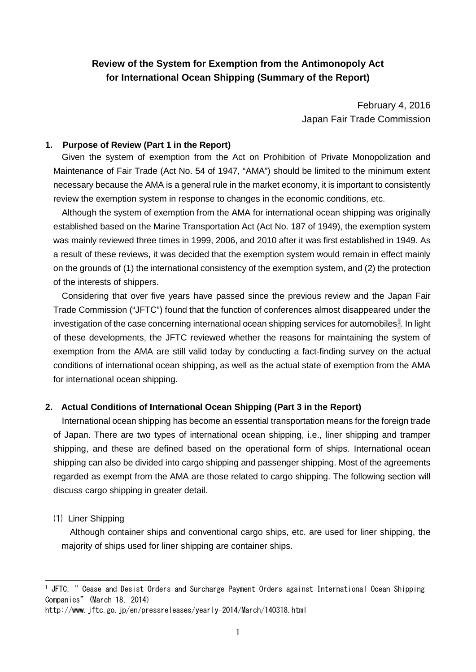# **Review of the System for Exemption from the Antimonopoly Act for International Ocean Shipping (Summary of the Report)**

February 4, 2016 Japan Fair Trade Commission

## **1. Purpose of Review (Part 1 in the Report)**

Given the system of exemption from the Act on Prohibition of Private Monopolization and Maintenance of Fair Trade (Act No. 54 of 1947, "AMA") should be limited to the minimum extent necessary because the AMA is a general rule in the market economy, it is important to consistently review the exemption system in response to changes in the economic conditions, etc.

Although the system of exemption from the AMA for international ocean shipping was originally established based on the Marine Transportation Act (Act No. 187 of 1949), the exemption system was mainly reviewed three times in 1999, 2006, and 2010 after it was first established in 1949. As a result of these reviews, it was decided that the exemption system would remain in effect mainly on the grounds of (1) the international consistency of the exemption system, and (2) the protection of the interests of shippers.

Considering that over five years have passed since the previous review and the Japan Fair Trade Commission ("JFTC") found that the function of conferences almost disappeared under the investigation of the case concerning international ocean shipping services for automobiles<sup>[1](#page-0-0)</sup>. In light of these developments, the JFTC reviewed whether the reasons for maintaining the system of exemption from the AMA are still valid today by conducting a fact-finding survey on the actual conditions of international ocean shipping, as well as the actual state of exemption from the AMA for international ocean shipping.

# **2. Actual Conditions of International Ocean Shipping (Part 3 in the Report)**

International ocean shipping has become an essential transportation means for the foreign trade of Japan. There are two types of international ocean shipping, i.e., liner shipping and tramper shipping, and these are defined based on the operational form of ships. International ocean shipping can also be divided into cargo shipping and passenger shipping. Most of the agreements regarded as exempt from the AMA are those related to cargo shipping. The following section will discuss cargo shipping in greater detail.

# ⑴ Liner Shipping

1

Although container ships and conventional cargo ships, etc. are used for liner shipping, the majority of ships used for liner shipping are container ships.

<span id="page-0-0"></span> $^{\rm 1}$  JFTC, " Cease and Desist Orders and Surcharge Payment Orders against International Ocean Shipping Companies" (March 18, 2014)

http://www.jftc.go.jp/en/pressreleases/yearly-2014/March/140318.html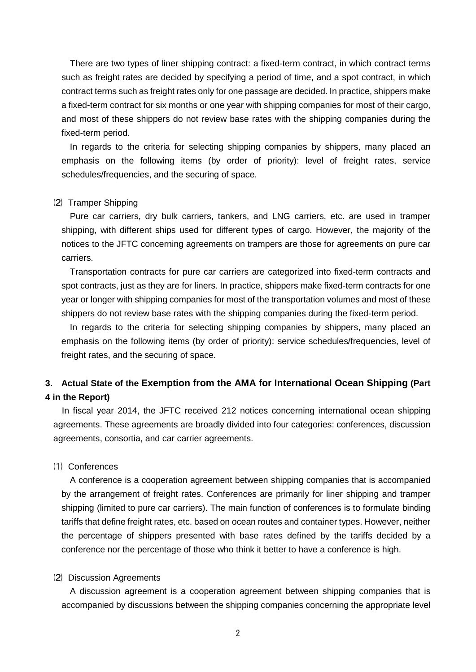There are two types of liner shipping contract: a fixed-term contract, in which contract terms such as freight rates are decided by specifying a period of time, and a spot contract, in which contract terms such as freight rates only for one passage are decided. In practice, shippers make a fixed-term contract for six months or one year with shipping companies for most of their cargo, and most of these shippers do not review base rates with the shipping companies during the fixed-term period.

In regards to the criteria for selecting shipping companies by shippers, many placed an emphasis on the following items (by order of priority): level of freight rates, service schedules/frequencies, and the securing of space.

#### ⑵ Tramper Shipping

Pure car carriers, dry bulk carriers, tankers, and LNG carriers, etc. are used in tramper shipping, with different ships used for different types of cargo. However, the majority of the notices to the JFTC concerning agreements on trampers are those for agreements on pure car carriers.

Transportation contracts for pure car carriers are categorized into fixed-term contracts and spot contracts, just as they are for liners. In practice, shippers make fixed-term contracts for one year or longer with shipping companies for most of the transportation volumes and most of these shippers do not review base rates with the shipping companies during the fixed-term period.

In regards to the criteria for selecting shipping companies by shippers, many placed an emphasis on the following items (by order of priority): service schedules/frequencies, level of freight rates, and the securing of space.

# **3. Actual State of the Exemption from the AMA for International Ocean Shipping (Part 4 in the Report)**

In fiscal year 2014, the JFTC received 212 notices concerning international ocean shipping agreements. These agreements are broadly divided into four categories: conferences, discussion agreements, consortia, and car carrier agreements.

# ⑴ Conferences

A conference is a cooperation agreement between shipping companies that is accompanied by the arrangement of freight rates. Conferences are primarily for liner shipping and tramper shipping (limited to pure car carriers). The main function of conferences is to formulate binding tariffs that define freight rates, etc. based on ocean routes and container types. However, neither the percentage of shippers presented with base rates defined by the tariffs decided by a conference nor the percentage of those who think it better to have a conference is high.

#### ⑵ Discussion Agreements

A discussion agreement is a cooperation agreement between shipping companies that is accompanied by discussions between the shipping companies concerning the appropriate level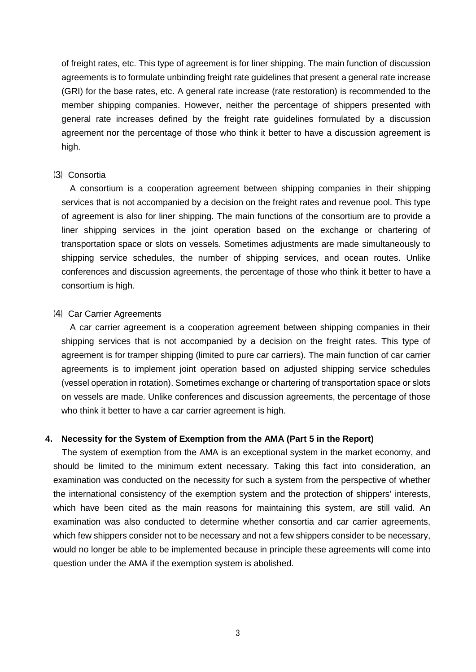of freight rates, etc. This type of agreement is for liner shipping. The main function of discussion agreements is to formulate unbinding freight rate guidelines that present a general rate increase (GRI) for the base rates, etc. A general rate increase (rate restoration) is recommended to the member shipping companies. However, neither the percentage of shippers presented with general rate increases defined by the freight rate guidelines formulated by a discussion agreement nor the percentage of those who think it better to have a discussion agreement is high.

#### ⑶ Consortia

A consortium is a cooperation agreement between shipping companies in their shipping services that is not accompanied by a decision on the freight rates and revenue pool. This type of agreement is also for liner shipping. The main functions of the consortium are to provide a liner shipping services in the joint operation based on the exchange or chartering of transportation space or slots on vessels. Sometimes adjustments are made simultaneously to shipping service schedules, the number of shipping services, and ocean routes. Unlike conferences and discussion agreements, the percentage of those who think it better to have a consortium is high.

#### ⑷ Car Carrier Agreements

A car carrier agreement is a cooperation agreement between shipping companies in their shipping services that is not accompanied by a decision on the freight rates. This type of agreement is for tramper shipping (limited to pure car carriers). The main function of car carrier agreements is to implement joint operation based on adjusted shipping service schedules (vessel operation in rotation). Sometimes exchange or chartering of transportation space or slots on vessels are made. Unlike conferences and discussion agreements, the percentage of those who think it better to have a car carrier agreement is high.

#### **4. Necessity for the System of Exemption from the AMA (Part 5 in the Report)**

The system of exemption from the AMA is an exceptional system in the market economy, and should be limited to the minimum extent necessary. Taking this fact into consideration, an examination was conducted on the necessity for such a system from the perspective of whether the international consistency of the exemption system and the protection of shippers' interests, which have been cited as the main reasons for maintaining this system, are still valid. An examination was also conducted to determine whether consortia and car carrier agreements, which few shippers consider not to be necessary and not a few shippers consider to be necessary, would no longer be able to be implemented because in principle these agreements will come into question under the AMA if the exemption system is abolished.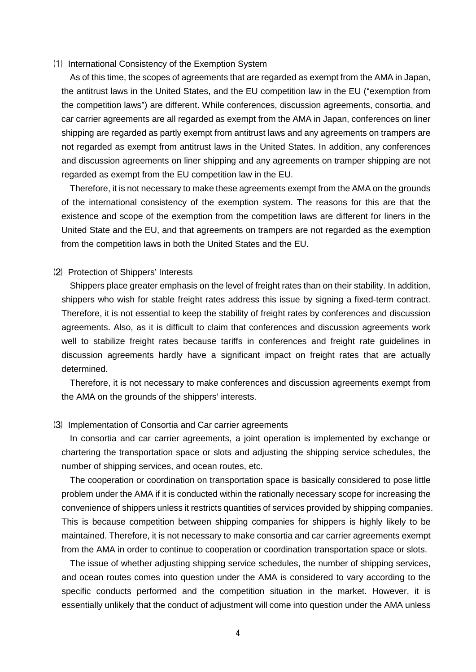#### ⑴ International Consistency of the Exemption System

As of this time, the scopes of agreements that are regarded as exempt from the AMA in Japan, the antitrust laws in the United States, and the EU competition law in the EU ("exemption from the competition laws") are different. While conferences, discussion agreements, consortia, and car carrier agreements are all regarded as exempt from the AMA in Japan, conferences on liner shipping are regarded as partly exempt from antitrust laws and any agreements on trampers are not regarded as exempt from antitrust laws in the United States. In addition, any conferences and discussion agreements on liner shipping and any agreements on tramper shipping are not regarded as exempt from the EU competition law in the EU.

Therefore, it is not necessary to make these agreements exempt from the AMA on the grounds of the international consistency of the exemption system. The reasons for this are that the existence and scope of the exemption from the competition laws are different for liners in the United State and the EU, and that agreements on trampers are not regarded as the exemption from the competition laws in both the United States and the EU.

## ⑵ Protection of Shippers' Interests

Shippers place greater emphasis on the level of freight rates than on their stability. In addition, shippers who wish for stable freight rates address this issue by signing a fixed-term contract. Therefore, it is not essential to keep the stability of freight rates by conferences and discussion agreements. Also, as it is difficult to claim that conferences and discussion agreements work well to stabilize freight rates because tariffs in conferences and freight rate guidelines in discussion agreements hardly have a significant impact on freight rates that are actually determined.

Therefore, it is not necessary to make conferences and discussion agreements exempt from the AMA on the grounds of the shippers' interests.

#### ⑶ Implementation of Consortia and Car carrier agreements

In consortia and car carrier agreements, a joint operation is implemented by exchange or chartering the transportation space or slots and adjusting the shipping service schedules, the number of shipping services, and ocean routes, etc.

The cooperation or coordination on transportation space is basically considered to pose little problem under the AMA if it is conducted within the rationally necessary scope for increasing the convenience of shippers unless it restricts quantities of services provided by shipping companies. This is because competition between shipping companies for shippers is highly likely to be maintained. Therefore, it is not necessary to make consortia and car carrier agreements exempt from the AMA in order to continue to cooperation or coordination transportation space or slots.

The issue of whether adjusting shipping service schedules, the number of shipping services, and ocean routes comes into question under the AMA is considered to vary according to the specific conducts performed and the competition situation in the market. However, it is essentially unlikely that the conduct of adjustment will come into question under the AMA unless